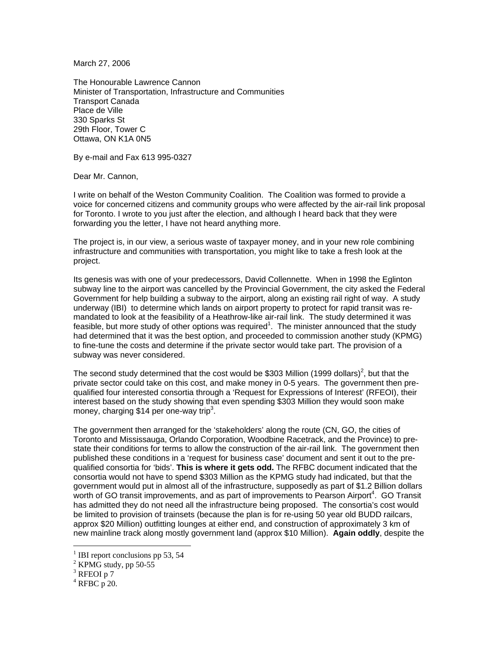March 27, 2006

The Honourable Lawrence Cannon Minister of Transportation, Infrastructure and Communities Transport Canada Place de Ville 330 Sparks St 29th Floor, Tower C Ottawa, ON K1A 0N5

By e-mail and Fax 613 995-0327

Dear Mr. Cannon,

I write on behalf of the Weston Community Coalition. The Coalition was formed to provide a voice for concerned citizens and community groups who were affected by the air-rail link proposal for Toronto. I wrote to you just after the election, and although I heard back that they were forwarding you the letter, I have not heard anything more.

The project is, in our view, a serious waste of taxpayer money, and in your new role combining infrastructure and communities with transportation, you might like to take a fresh look at the project.

Its genesis was with one of your predecessors, David Collennette. When in 1998 the Eglinton subway line to the airport was cancelled by the Provincial Government, the city asked the Federal Government for help building a subway to the airport, along an existing rail right of way. A study underway (IBI) to determine which lands on airport property to protect for rapid transit was remandated to look at the feasibility of a Heathrow-like air-rail link. The study determined it was feasible, but more study of other options was required<sup>1</sup>. The minister announced that the study had determined that it was the best option, and proceeded to commission another study (KPMG) to fine-tune the costs and determine if the private sector would take part. The provision of a subway was never considered.

The second study determined that the cost would be \$303 Million (1999 dollars)<sup>2</sup>, but that the private sector could take on this cost, and make money in 0-5 years. The government then prequalified four interested consortia through a 'Request for Expressions of Interest' (RFEOI), their interest based on the study showing that even spending \$303 Million they would soon make money, charging \$14 per one-way trip<sup>3</sup>.

The government then arranged for the 'stakeholders' along the route (CN, GO, the cities of Toronto and Mississauga, Orlando Corporation, Woodbine Racetrack, and the Province) to prestate their conditions for terms to allow the construction of the air-rail link. The government then published these conditions in a 'request for business case' document and sent it out to the prequalified consortia for 'bids'. **This is where it gets odd.** The RFBC document indicated that the consortia would not have to spend \$303 Million as the KPMG study had indicated, but that the government would put in almost all of the infrastructure, supposedly as part of \$1.2 Billion dollars worth of GO transit improvements, and as part of improvements to Pearson Airport<sup>4</sup>. GO Transit has admitted they do not need all the infrastructure being proposed. The consortia's cost would be limited to provision of trainsets (because the plan is for re-using 50 year old BUDD railcars, approx \$20 Million) outfitting lounges at either end, and construction of approximately 3 km of new mainline track along mostly government land (approx \$10 Million). **Again oddly**, despite the

 $\overline{a}$ 

<sup>&</sup>lt;sup>1</sup> IBI report conclusions pp 53, 54

 $2$  KPMG study, pp 50-55

 $3$  RFEOI p 7

 $4$  RFBC p 20.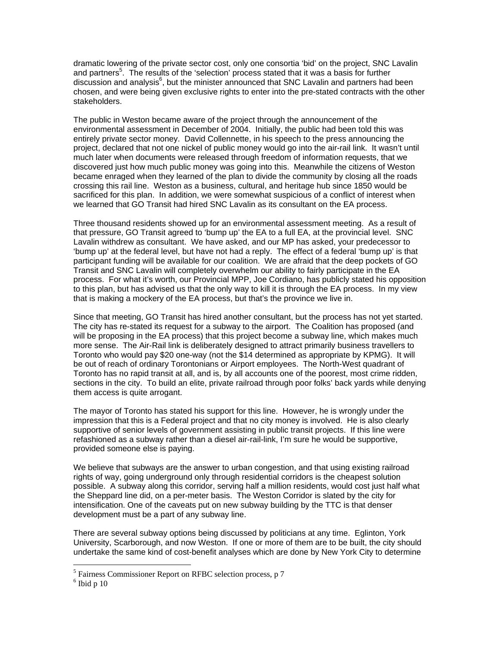dramatic lowering of the private sector cost, only one consortia 'bid' on the project, SNC Lavalin and partners<sup>5</sup>. The results of the 'selection' process stated that it was a basis for further discussion and analysis<sup>6</sup>, but the minister announced that SNC Lavalin and partners had been chosen, and were being given exclusive rights to enter into the pre-stated contracts with the other stakeholders.

The public in Weston became aware of the project through the announcement of the environmental assessment in December of 2004. Initially, the public had been told this was entirely private sector money. David Collennette, in his speech to the press announcing the project, declared that not one nickel of public money would go into the air-rail link. It wasn't until much later when documents were released through freedom of information requests, that we discovered just how much public money was going into this. Meanwhile the citizens of Weston became enraged when they learned of the plan to divide the community by closing all the roads crossing this rail line. Weston as a business, cultural, and heritage hub since 1850 would be sacrificed for this plan. In addition, we were somewhat suspicious of a conflict of interest when we learned that GO Transit had hired SNC Lavalin as its consultant on the EA process.

Three thousand residents showed up for an environmental assessment meeting. As a result of that pressure, GO Transit agreed to 'bump up' the EA to a full EA, at the provincial level. SNC Lavalin withdrew as consultant. We have asked, and our MP has asked, your predecessor to 'bump up' at the federal level, but have not had a reply. The effect of a federal 'bump up' is that participant funding will be available for our coalition. We are afraid that the deep pockets of GO Transit and SNC Lavalin will completely overwhelm our ability to fairly participate in the EA process. For what it's worth, our Provincial MPP, Joe Cordiano, has publicly stated his opposition to this plan, but has advised us that the only way to kill it is through the EA process. In my view that is making a mockery of the EA process, but that's the province we live in.

Since that meeting, GO Transit has hired another consultant, but the process has not yet started. The city has re-stated its request for a subway to the airport. The Coalition has proposed (and will be proposing in the EA process) that this project become a subway line, which makes much more sense. The Air-Rail link is deliberately designed to attract primarily business travellers to Toronto who would pay \$20 one-way (not the \$14 determined as appropriate by KPMG). It will be out of reach of ordinary Torontonians or Airport employees. The North-West quadrant of Toronto has no rapid transit at all, and is, by all accounts one of the poorest, most crime ridden, sections in the city. To build an elite, private railroad through poor folks' back yards while denying them access is quite arrogant.

The mayor of Toronto has stated his support for this line. However, he is wrongly under the impression that this is a Federal project and that no city money is involved. He is also clearly supportive of senior levels of government assisting in public transit projects. If this line were refashioned as a subway rather than a diesel air-rail-link, I'm sure he would be supportive, provided someone else is paying.

We believe that subways are the answer to urban congestion, and that using existing railroad rights of way, going underground only through residential corridors is the cheapest solution possible. A subway along this corridor, serving half a million residents, would cost just half what the Sheppard line did, on a per-meter basis. The Weston Corridor is slated by the city for intensification. One of the caveats put on new subway building by the TTC is that denser development must be a part of any subway line.

There are several subway options being discussed by politicians at any time. Eglinton, York University, Scarborough, and now Weston. If one or more of them are to be built, the city should undertake the same kind of cost-benefit analyses which are done by New York City to determine

 $\overline{a}$ 

<sup>&</sup>lt;sup>5</sup> Fairness Commissioner Report on RFBC selection process, p 7

 $6$  Ibid p 10